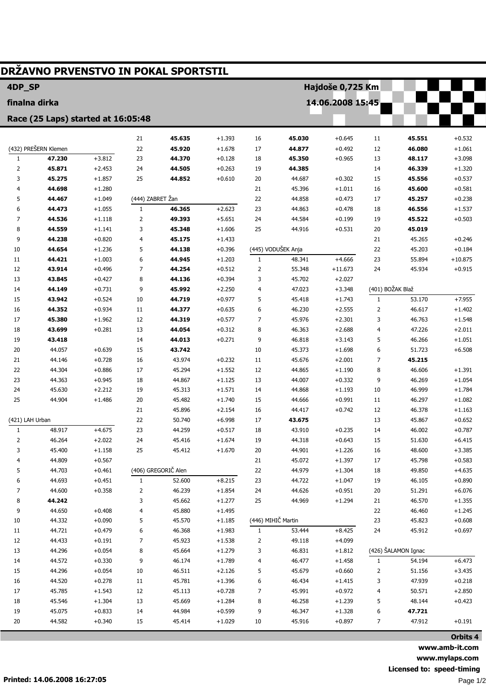| DRŽAVNO PRVENSTVO IN POKAL SPORTSTIL |                      |          |                  |                     |          |                    |                    |           |                  |                     |           |  |
|--------------------------------------|----------------------|----------|------------------|---------------------|----------|--------------------|--------------------|-----------|------------------|---------------------|-----------|--|
| 4DP_SP<br>Hajdoše 0,725 Km           |                      |          |                  |                     |          |                    |                    |           |                  |                     |           |  |
| 14.06.2008 15:45<br>finalna dirka    |                      |          |                  |                     |          |                    |                    |           |                  |                     |           |  |
| Race (25 Laps) started at 16:05:48   |                      |          |                  |                     |          |                    |                    |           |                  |                     |           |  |
|                                      |                      |          |                  |                     |          |                    |                    |           |                  |                     |           |  |
|                                      |                      |          | 21               | 45.635              | $+1.393$ | 16                 | 45.030             | $+0.645$  | 11               | 45.551              | $+0.532$  |  |
|                                      | (432) PREŠERN Klemen |          | 22               | 45.920              | $+1.678$ | 17                 | 44.877             | $+0.492$  | 12               | 46.080              | $+1.061$  |  |
| $\mathbf{1}$                         | 47.230               | $+3.812$ | 23               | 44.370              | $+0.128$ | 18                 | 45.350             | $+0.965$  | 13               | 48.117              | $+3.098$  |  |
| $\overline{2}$                       | 45.871               | $+2.453$ | 24               | 44.505              | $+0.263$ | 19                 | 44.385             |           | 14               | 46.339              | $+1.320$  |  |
| 3                                    | 45.275               | $+1.857$ | 25               | 44.852              | $+0.610$ | 20                 | 44.687             | $+0.302$  | 15               | 45.556              | $+0.537$  |  |
| 4                                    | 44.698               | $+1.280$ |                  |                     |          | 21                 | 45.396             | $+1.011$  | 16               | 45.600              | $+0.581$  |  |
| 5                                    | 44.467               | $+1.049$ | (444) ZABRET Žan |                     |          | 22                 | 44.858             | $+0.473$  | 17               | 45.257              | $+0.238$  |  |
| 6                                    | 44.473               | $+1.055$ | $\mathbf{1}$     | 46.365              | $+2.623$ | 23                 | 44.863             | $+0.478$  | 18               | 46.556              | $+1.537$  |  |
| 7                                    | 44.536               | $+1.118$ | $\overline{2}$   | 49.393              | $+5.651$ | 24                 | 44.584             | $+0.199$  | 19               | 45.522              | $+0.503$  |  |
| 8                                    | 44.559               | $+1.141$ | 3                | 45.348              | $+1.606$ | 25                 | 44.916             | $+0.531$  | 20               | 45.019              |           |  |
| 9                                    | 44.238               | $+0.820$ | 4                | 45.175              | $+1.433$ |                    |                    |           | 21               | 45.265              | $+0.246$  |  |
| 10                                   | 44.654               | $+1.236$ | 5                | 44.138              | $+0.396$ |                    | (445) VODUŠEK Anja |           | 22               | 45.203              | $+0.184$  |  |
| 11                                   | 44.421               | $+1.003$ | 6                | 44.945              | $+1.203$ | 1                  | 48.341             | $+4.666$  | 23               | 55.894              | $+10.875$ |  |
| 12                                   | 43.914               | $+0.496$ | $\overline{7}$   | 44.254              | $+0.512$ | 2                  | 55.348             | $+11.673$ | 24               | 45.934              | $+0.915$  |  |
| 13                                   | 43.845               | $+0.427$ | 8                | 44.136              | $+0.394$ | 3                  | 45.702             | $+2.027$  |                  |                     |           |  |
| 14                                   | 44.149               | $+0.731$ | 9                | 45.992              | $+2.250$ | 4                  | 47.023             | $+3.348$  | (401) BOŽAK Blaž |                     |           |  |
| 15                                   | 43.942               | $+0.524$ | 10               | 44.719              | $+0.977$ | 5                  | 45.418             | $+1.743$  | $\mathbf{1}$     | 53.170              | $+7.955$  |  |
| 16                                   | 44.352               | $+0.934$ | 11               | 44.377              | $+0.635$ | 6                  | 46.230             | $+2.555$  | 2                | 46.617              | $+1.402$  |  |
| 17                                   | 45.380               | $+1.962$ | 12               | 44.319              | $+0.577$ | 7                  | 45.976             | $+2.301$  | 3                | 46.763              | $+1.548$  |  |
| 18                                   | 43.699               | $+0.281$ | 13               | 44.054              | $+0.312$ | 8                  | 46.363             | $+2.688$  | 4                | 47.226              | $+2.011$  |  |
| 19                                   | 43.418               |          | 14               | 44.013              | $+0.271$ | 9                  | 46.818             | $+3.143$  | 5                | 46.266              | $+1.051$  |  |
| 20                                   | 44.057               | $+0.639$ | 15               | 43.742              |          | 10                 | 45.373             | $+1.698$  | 6                | 51.723              | $+6.508$  |  |
| 21                                   | 44.146               | $+0.728$ | 16               | 43.974              | $+0.232$ | 11                 | 45.676             | $+2.001$  | 7                | 45.215              |           |  |
| 22                                   | 44.304               | $+0.886$ | 17               | 45.294              | $+1.552$ | 12                 | 44.865             | $+1.190$  | 8                | 46.606              | $+1.391$  |  |
| 23                                   | 44.363               | $+0.945$ | 18               | 44.867              | $+1.125$ | 13                 | 44.007             | $+0.332$  | 9                | 46.269              | $+1.054$  |  |
| 24                                   | 45.630               | $+2.212$ | 19               | 45.313              | $+1.571$ | 14                 | 44.868             | $+1.193$  | 10               | 46.999              | $+1.784$  |  |
| 25                                   | 44.904               | $+1.486$ | 20               | 45.482              | $+1.740$ | 15                 | 44.666             | $+0.991$  | 11               | 46.297              | $+1.082$  |  |
|                                      |                      |          | 21               | 45.896              | $+2.154$ | 16                 | 44.417             | $+0.742$  | 12               | 46.378              | $+1.163$  |  |
| (421) LAH Urban                      |                      |          | 22               | 50.740              | $+6.998$ | 17                 | 43.675             |           | 13               | 45.867              | $+0.652$  |  |
| 1                                    | 48.917               | +4.675   | 23               | 44.259              | $+0.517$ | 18                 | 43.910             | $+0.235$  | 14               | 46.002              | $+0.787$  |  |
| 2                                    | 46.264               | $+2.022$ | 24               | 45.416              | $+1.674$ | 19                 | 44.318             | $+0.643$  | 15               | 51.630              | $+6.415$  |  |
| 3                                    | 45.400               | $+1.158$ | 25               | 45.412              | $+1.670$ | $20\,$             | 44.901             | $+1.226$  | 16               | 48.600              | $+3.385$  |  |
| 4                                    | 44.809               | $+0.567$ |                  |                     |          | 21                 | 45.072             | $+1.397$  | $17\,$           | 45.798              | $+0.583$  |  |
| 5                                    | 44.703               | $+0.461$ |                  | (406) GREGORIČ Alen |          | 22                 | 44.979             | $+1.304$  | 18               | 49.850              | $+4.635$  |  |
| 6                                    | 44.693               | $+0.451$ | $1\,$            | 52.600              | $+8.215$ | 23                 | 44.722             | $+1.047$  | 19               | 46.105              | $+0.890$  |  |
| 7                                    | 44.600               | $+0.358$ | $\overline{2}$   | 46.239              | $+1.854$ | 24                 | 44.626             | $+0.951$  | 20               | 51.291              | $+6.076$  |  |
| 8                                    | 44.242               |          | 3                | 45.662              | $+1.277$ | 25                 | 44.969             | $+1.294$  | 21               | 46.570              | $+1.355$  |  |
| 9                                    | 44.650               | $+0.408$ | 4                | 45.880              | $+1.495$ |                    |                    |           | 22               | 46.460              | $+1.245$  |  |
| 10                                   | 44.332               | $+0.090$ | 5                | 45.570              | $+1.185$ | (446) MIHIČ Martin |                    |           | 23               | 45.823              | $+0.608$  |  |
| 11                                   | 44.721               | $+0.479$ | 6                | 46.368              | $+1.983$ | 1                  | 53.444             | $+8.425$  | 24               | 45.912              | $+0.697$  |  |
| 12                                   | 44.433               | $+0.191$ | $\overline{7}$   | 45.923              | $+1.538$ | 2                  | 49.118             | $+4.099$  |                  |                     |           |  |
| 13                                   | 44.296               | $+0.054$ | 8                | 45.664              | $+1.279$ | 3                  | 46.831             | $+1.812$  |                  | (426) ŠALAMON Ignac |           |  |
| 14                                   | 44.572               | $+0.330$ | 9                | 46.174              | $+1.789$ | 4                  | 46.477             | $+1.458$  | $\mathbf{1}$     | 54.194              | $+6.473$  |  |
| 15                                   | 44.296               | $+0.054$ | 10               | 46.511              | $+2.126$ | 5                  | 45.679             | $+0.660$  | 2                | 51.156              | $+3.435$  |  |
| 16                                   | 44.520               | $+0.278$ | 11               | 45.781              | $+1.396$ | 6                  | 46.434             | $+1.415$  | 3                | 47.939              | $+0.218$  |  |
| 17                                   | 45.785               | $+1.543$ | 12               | 45.113              | $+0.728$ | 7                  | 45.991             | $+0.972$  | 4                | 50.571              | $+2.850$  |  |
| 18                                   | 45.546               | $+1.304$ | 13               | 45.669              | $+1.284$ | 8                  | 46.258             | $+1.239$  | 5                | 48.144              | $+0.423$  |  |
| 19                                   | 45.075               | $+0.833$ | 14               | 44.984              | $+0.599$ | 9                  | 46.347             | $+1.328$  | 6                | 47.721              |           |  |
| 20                                   | 44.582               | $+0.340$ | 15               | 45.414              | $+1.029$ | 10                 | 45.916             | $+0.897$  | 7                | 47.912              | $+0.191$  |  |
|                                      |                      |          |                  |                     |          |                    |                    |           |                  |                     |           |  |
|                                      |                      |          |                  |                     |          |                    |                    |           |                  |                     | Orbits 4  |  |

www.amb-it.com www.mylaps.com Licensed to: speed-timing Page 1/2